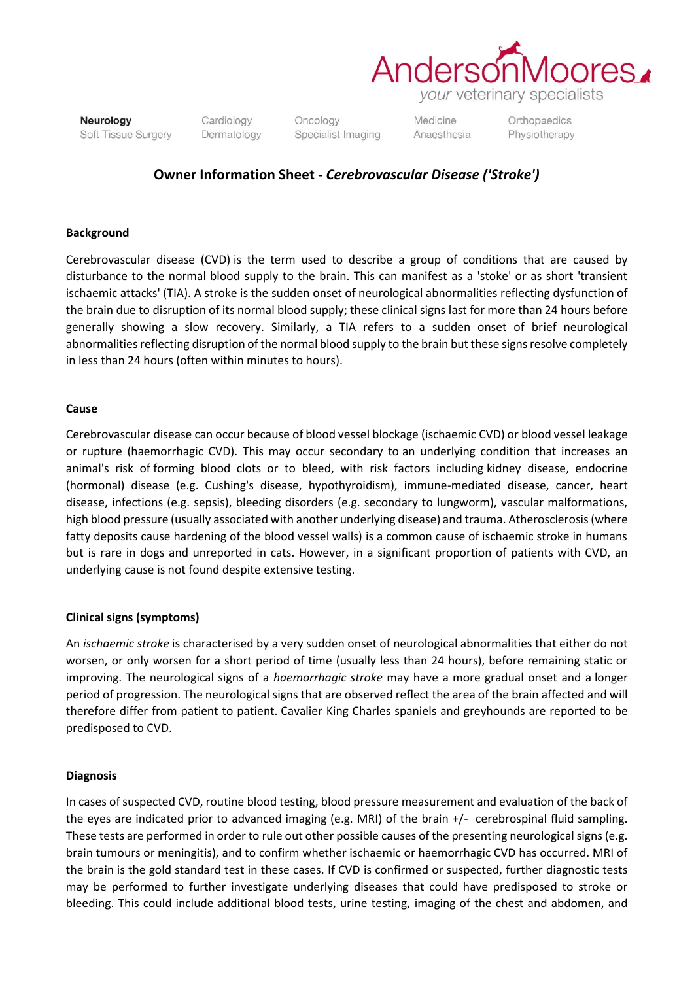

Neurology Soft Tissue Surgery Cardiology Dermatology

Oncology Specialist Imaging Medicine Anaesthesia Orthopaedics Physiotherapy

# **Owner Information Sheet -** *Cerebrovascular Disease ('Stroke')*

### **Background**

Cerebrovascular disease (CVD) is the term used to describe a group of conditions that are caused by disturbance to the normal blood supply to the brain. This can manifest as a 'stoke' or as short 'transient ischaemic attacks' (TIA). A stroke is the sudden onset of neurological abnormalities reflecting dysfunction of the brain due to disruption of its normal blood supply; these clinical signs last for more than 24 hours before generally showing a slow recovery. Similarly, a TIA refers to a sudden onset of brief neurological abnormalities reflecting disruption of the normal blood supply to the brain but these signs resolve completely in less than 24 hours (often within minutes to hours).

#### **Cause**

Cerebrovascular disease can occur because of blood vessel blockage (ischaemic CVD) or blood vessel leakage or rupture (haemorrhagic CVD). This may occur secondary to an underlying condition that increases an animal's risk of forming blood clots or to bleed, with risk factors including kidney disease, endocrine (hormonal) disease (e.g. Cushing's disease, hypothyroidism), immune-mediated disease, cancer, heart disease, infections (e.g. sepsis), bleeding disorders (e.g. secondary to lungworm), vascular malformations, high blood pressure (usually associated with another underlying disease) and trauma. Atherosclerosis (where fatty deposits cause hardening of the blood vessel walls) is a common cause of ischaemic stroke in humans but is rare in dogs and unreported in cats. However, in a significant proportion of patients with CVD, an underlying cause is not found despite extensive testing.

## **Clinical signs (symptoms)**

An *ischaemic stroke* is characterised by a very sudden onset of neurological abnormalities that either do not worsen, or only worsen for a short period of time (usually less than 24 hours), before remaining static or improving. The neurological signs of a *haemorrhagic stroke* may have a more gradual onset and a longer period of progression. The neurological signs that are observed reflect the area of the brain affected and will therefore differ from patient to patient. Cavalier King Charles spaniels and greyhounds are reported to be predisposed to CVD.

#### **Diagnosis**

In cases of suspected CVD, routine blood testing, blood pressure measurement and evaluation of the back of the eyes are indicated prior to advanced imaging (e.g. MRI) of the brain +/- cerebrospinal fluid sampling. These tests are performed in order to rule out other possible causes of the presenting neurological signs (e.g. brain tumours or meningitis), and to confirm whether ischaemic or haemorrhagic CVD has occurred. MRI of the brain is the gold standard test in these cases. If CVD is confirmed or suspected, further diagnostic tests may be performed to further investigate underlying diseases that could have predisposed to stroke or bleeding. This could include additional blood tests, urine testing, imaging of the chest and abdomen, and